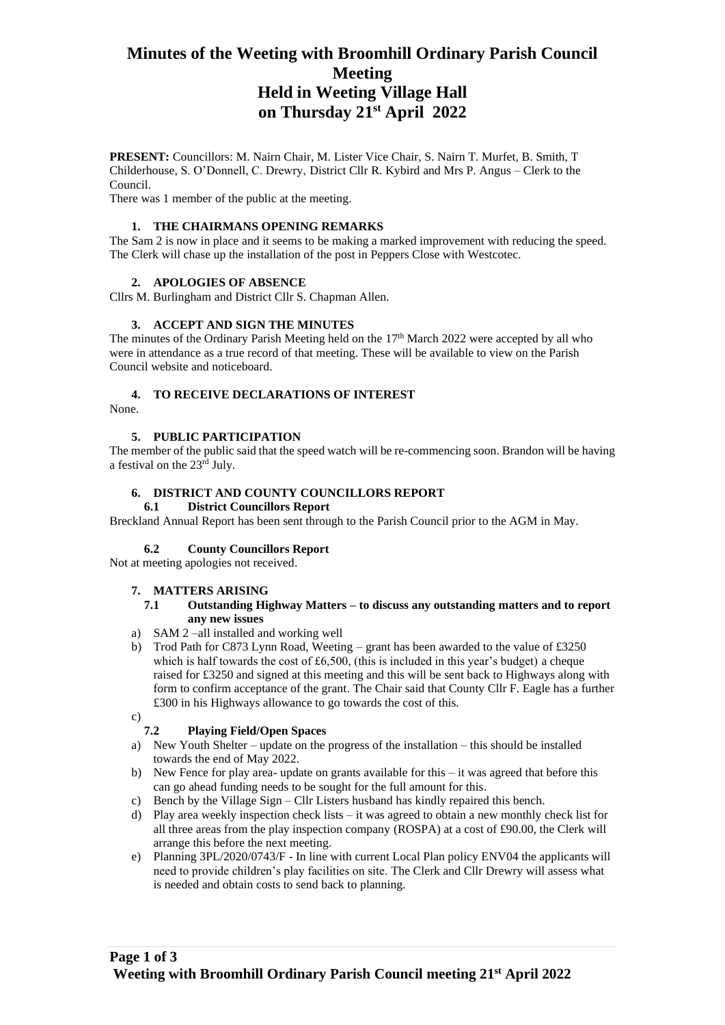# **Minutes of the Weeting with Broomhill Ordinary Parish Council Meeting Held in Weeting Village Hall on Thursday 21st April 2022**

**PRESENT:** Councillors: M. Nairn Chair, M. Lister Vice Chair, S. Nairn T. Murfet, B. Smith, T Childerhouse, S. O'Donnell, C. Drewry, District Cllr R. Kybird and Mrs P. Angus – Clerk to the Council.

There was 1 member of the public at the meeting.

# **1. THE CHAIRMANS OPENING REMARKS**

The Sam 2 is now in place and it seems to be making a marked improvement with reducing the speed. The Clerk will chase up the installation of the post in Peppers Close with Westcotec.

# **2. APOLOGIES OF ABSENCE**

Cllrs M. Burlingham and District Cllr S. Chapman Allen.

# **3. ACCEPT AND SIGN THE MINUTES**

The minutes of the Ordinary Parish Meeting held on the 17<sup>th</sup> March 2022 were accepted by all who were in attendance as a true record of that meeting. These will be available to view on the Parish Council website and noticeboard.

# **4. TO RECEIVE DECLARATIONS OF INTEREST**

None.

# **5. PUBLIC PARTICIPATION**

The member of the public said that the speed watch will be re-commencing soon. Brandon will be having a festival on the 23rd July.

# **6. DISTRICT AND COUNTY COUNCILLORS REPORT**

**6.1 District Councillors Report**

Breckland Annual Report has been sent through to the Parish Council prior to the AGM in May.

## **6.2 County Councillors Report**

Not at meeting apologies not received.

## **7. MATTERS ARISING**

## **7.1 Outstanding Highway Matters – to discuss any outstanding matters and to report any new issues**

- a) SAM 2 –all installed and working well
- b) Trod Path for C873 Lynn Road, Weeting grant has been awarded to the value of £3250 which is half towards the cost of  $£6,500$ , (this is included in this year's budget) a cheque raised for £3250 and signed at this meeting and this will be sent back to Highways along with form to confirm acceptance of the grant. The Chair said that County Cllr F. Eagle has a further £300 in his Highways allowance to go towards the cost of this.
- c)

# **7.2 Playing Field/Open Spaces**

- a) New Youth Shelter update on the progress of the installation this should be installed towards the end of May 2022.
- b) New Fence for play area- update on grants available for this it was agreed that before this can go ahead funding needs to be sought for the full amount for this.
- c) Bench by the Village Sign Cllr Listers husband has kindly repaired this bench.
- d) Play area weekly inspection check lists it was agreed to obtain a new monthly check list for all three areas from the play inspection company (ROSPA) at a cost of £90.00, the Clerk will arrange this before the next meeting.
- e) Planning 3PL/2020/0743/F In line with current Local Plan policy ENV04 the applicants will need to provide children's play facilities on site. The Clerk and Cllr Drewry will assess what is needed and obtain costs to send back to planning.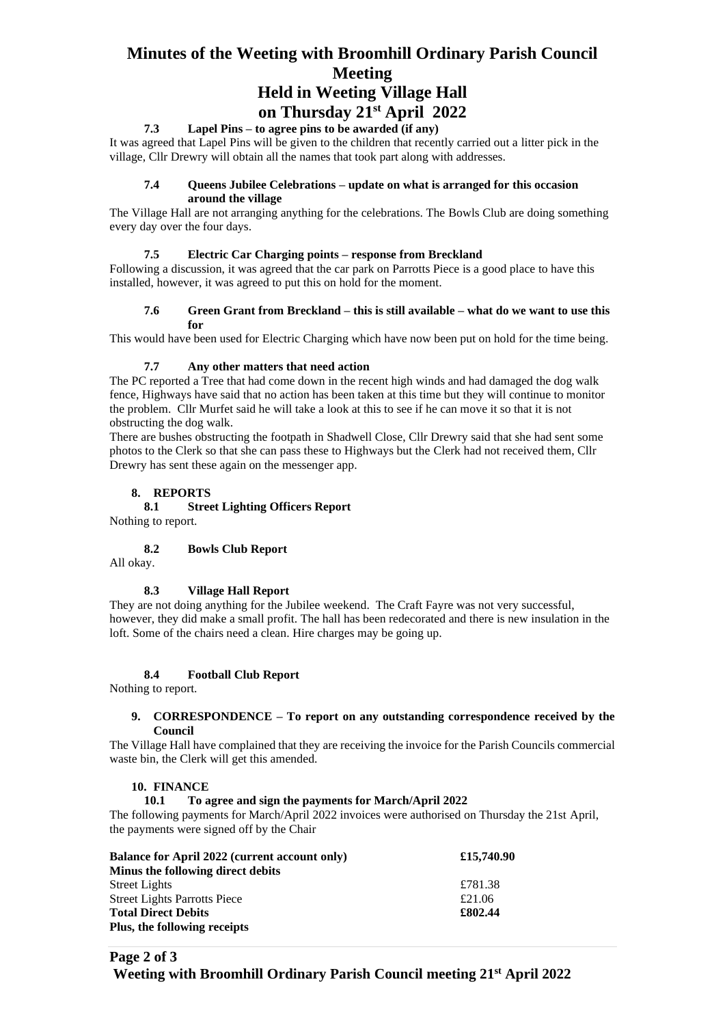# **Minutes of the Weeting with Broomhill Ordinary Parish Council Meeting**

# **Held in Weeting Village Hall on Thursday 21st April 2022**

# **7.3 Lapel Pins – to agree pins to be awarded (if any)**

It was agreed that Lapel Pins will be given to the children that recently carried out a litter pick in the village, Cllr Drewry will obtain all the names that took part along with addresses.

# **7.4 Queens Jubilee Celebrations – update on what is arranged for this occasion around the village**

The Village Hall are not arranging anything for the celebrations. The Bowls Club are doing something every day over the four days.

# **7.5 Electric Car Charging points – response from Breckland**

Following a discussion, it was agreed that the car park on Parrotts Piece is a good place to have this installed, however, it was agreed to put this on hold for the moment.

#### **7.6 Green Grant from Breckland – this is still available – what do we want to use this for**

This would have been used for Electric Charging which have now been put on hold for the time being.

# **7.7 Any other matters that need action**

The PC reported a Tree that had come down in the recent high winds and had damaged the dog walk fence, Highways have said that no action has been taken at this time but they will continue to monitor the problem. Cllr Murfet said he will take a look at this to see if he can move it so that it is not obstructing the dog walk.

There are bushes obstructing the footpath in Shadwell Close, Cllr Drewry said that she had sent some photos to the Clerk so that she can pass these to Highways but the Clerk had not received them, Cllr Drewry has sent these again on the messenger app.

# **8. REPORTS**

# **8.1 Street Lighting Officers Report**

Nothing to report.

# **8.2 Bowls Club Report**

All okay.

## **8.3 Village Hall Report**

They are not doing anything for the Jubilee weekend. The Craft Fayre was not very successful, however, they did make a small profit. The hall has been redecorated and there is new insulation in the loft. Some of the chairs need a clean. Hire charges may be going up.

## **8.4 Football Club Report**

Nothing to report.

#### **9. CORRESPONDENCE – To report on any outstanding correspondence received by the Council**

The Village Hall have complained that they are receiving the invoice for the Parish Councils commercial waste bin, the Clerk will get this amended.

## **10. FINANCE**

## **10.1 To agree and sign the payments for March/April 2022**

The following payments for March/April 2022 invoices were authorised on Thursday the 21st April, the payments were signed off by the Chair

| <b>Balance for April 2022 (current account only)</b> | £15,740.90 |
|------------------------------------------------------|------------|
| Minus the following direct debits                    |            |
| <b>Street Lights</b>                                 | £781.38    |
| <b>Street Lights Parrotts Piece</b>                  | £21.06     |
| <b>Total Direct Debits</b>                           | £802.44    |
| Plus, the following receipts                         |            |